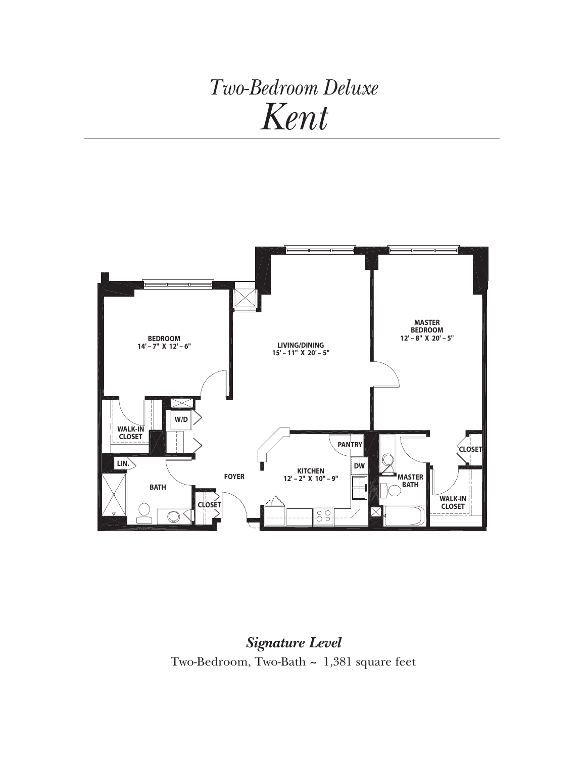## *Two-Bedroom Deluxe Kent*



*Signature Level* Two-Bedroom, Two-Bath *~* 1,381 square feet